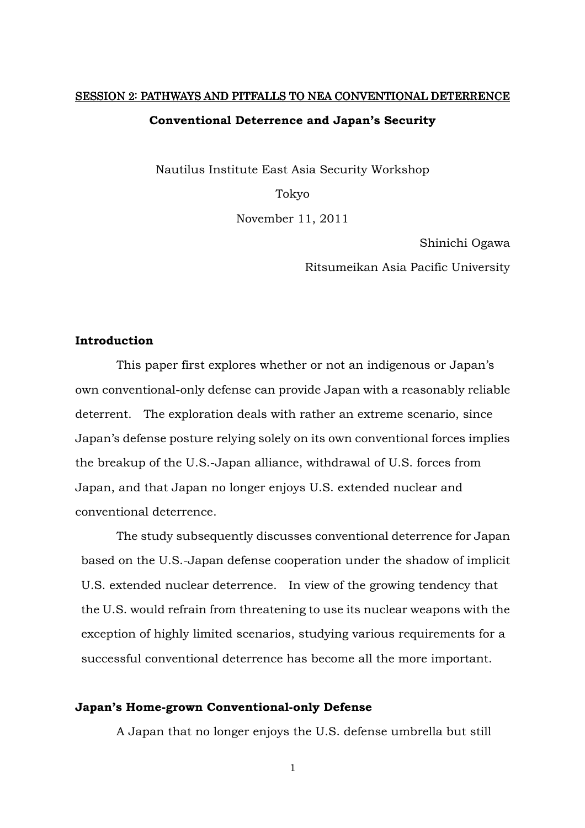# SESSION 2: PATHWAYS AND PITFALLS TO NEA CONVENTIONAL DETERRENCE **Conventional Deterrence and Japan's Security**

Nautilus Institute East Asia Security Workshop

Tokyo

November 11, 2011

Shinichi Ogawa

Ritsumeikan Asia Pacific University

## **Introduction**

 This paper first explores whether or not an indigenous or Japan's own conventional-only defense can provide Japan with a reasonably reliable deterrent. The exploration deals with rather an extreme scenario, since Japan's defense posture relying solely on its own conventional forces implies the breakup of the U.S.-Japan alliance, withdrawal of U.S. forces from Japan, and that Japan no longer enjoys U.S. extended nuclear and conventional deterrence.

The study subsequently discusses conventional deterrence for Japan based on the U.S.-Japan defense cooperation under the shadow of implicit U.S. extended nuclear deterrence. In view of the growing tendency that the U.S. would refrain from threatening to use its nuclear weapons with the exception of highly limited scenarios, studying various requirements for a successful conventional deterrence has become all the more important.

#### **Japan's Home-grown Conventional-only Defense**

A Japan that no longer enjoys the U.S. defense umbrella but still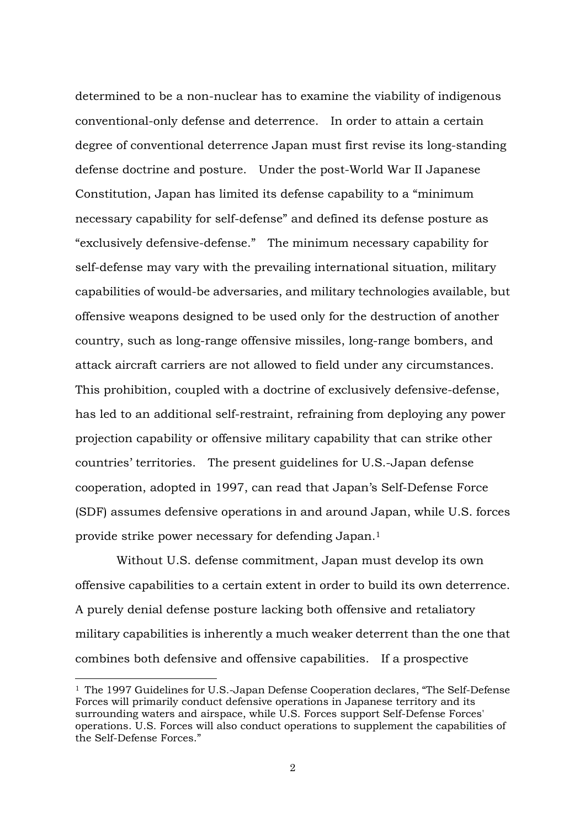determined to be a non-nuclear has to examine the viability of indigenous conventional-only defense and deterrence. In order to attain a certain degree of conventional deterrence Japan must first revise its long-standing defense doctrine and posture. Under the post-World War II Japanese Constitution, Japan has limited its defense capability to a "minimum necessary capability for self-defense" and defined its defense posture as "exclusively defensive-defense." The minimum necessary capability for self-defense may vary with the prevailing international situation, military capabilities of would-be adversaries, and military technologies available, but offensive weapons designed to be used only for the destruction of another country, such as long-range offensive missiles, long-range bombers, and attack aircraft carriers are not allowed to field under any circumstances. This prohibition, coupled with a doctrine of exclusively defensive-defense, has led to an additional self-restraint, refraining from deploying any power projection capability or offensive military capability that can strike other countries' territories. The present guidelines for U.S.-Japan defense cooperation, adopted in 1997, can read that Japan's Self-Defense Force (SDF) assumes defensive operations in and around Japan, while U.S. forces provide strike power necessary for defending Japan.<sup>1</sup>

Without U.S. defense commitment, Japan must develop its own offensive capabilities to a certain extent in order to build its own deterrence. A purely denial defense posture lacking both offensive and retaliatory military capabilities is inherently a much weaker deterrent than the one that combines both defensive and offensive capabilities. If a prospective

<sup>1</sup> The 1997 Guidelines for U.S.-Japan Defense Cooperation declares, "The Self-Defense Forces will primarily conduct defensive operations in Japanese territory and its surrounding waters and airspace, while U.S. Forces support Self-Defense Forces' operations. U.S. Forces will also conduct operations to supplement the capabilities of the Self-Defense Forces."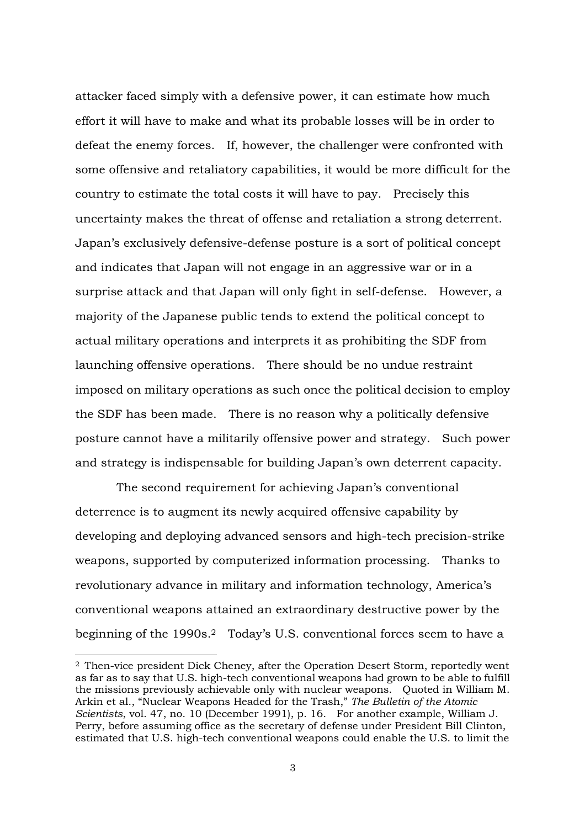attacker faced simply with a defensive power, it can estimate how much effort it will have to make and what its probable losses will be in order to defeat the enemy forces. If, however, the challenger were confronted with some offensive and retaliatory capabilities, it would be more difficult for the country to estimate the total costs it will have to pay. Precisely this uncertainty makes the threat of offense and retaliation a strong deterrent. Japan's exclusively defensive-defense posture is a sort of political concept and indicates that Japan will not engage in an aggressive war or in a surprise attack and that Japan will only fight in self-defense. However, a majority of the Japanese public tends to extend the political concept to actual military operations and interprets it as prohibiting the SDF from launching offensive operations. There should be no undue restraint imposed on military operations as such once the political decision to employ the SDF has been made. There is no reason why a politically defensive posture cannot have a militarily offensive power and strategy. Such power and strategy is indispensable for building Japan's own deterrent capacity.

 The second requirement for achieving Japan's conventional deterrence is to augment its newly acquired offensive capability by developing and deploying advanced sensors and high-tech precision-strike weapons, supported by computerized information processing. Thanks to revolutionary advance in military and information technology, America's conventional weapons attained an extraordinary destructive power by the beginning of the 1990s.<sup>2</sup> Today's U.S. conventional forces seem to have a

<sup>2</sup> Then-vice president Dick Cheney, after the Operation Desert Storm, reportedly went as far as to say that U.S. high-tech conventional weapons had grown to be able to fulfill the missions previously achievable only with nuclear weapons. Quoted in William M. Arkin et al., "Nuclear Weapons Headed for the Trash," *The Bulletin of the Atomic Scientists*, vol. 47, no. 10 (December 1991), p. 16. For another example, William J. Perry, before assuming office as the secretary of defense under President Bill Clinton, estimated that U.S. high-tech conventional weapons could enable the U.S. to limit the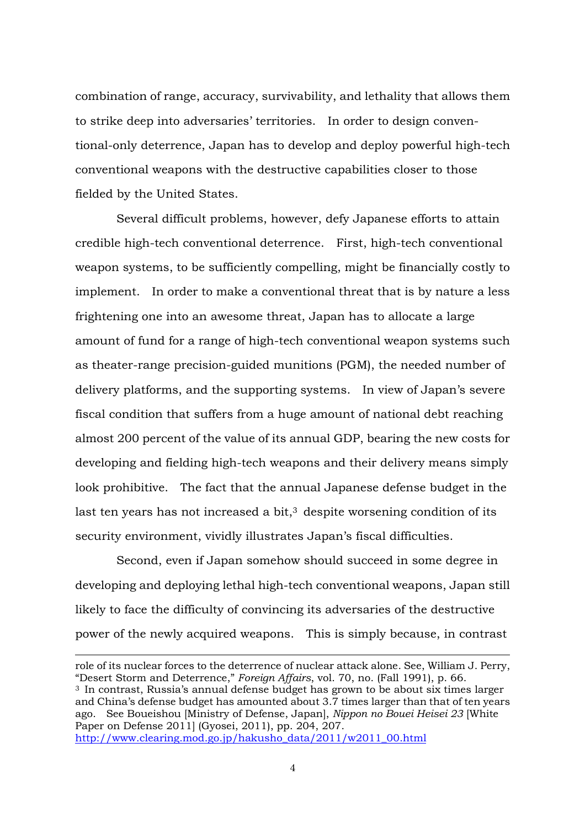combination of range, accuracy, survivability, and lethality that allows them to strike deep into adversaries' territories. In order to design conventional-only deterrence, Japan has to develop and deploy powerful high-tech conventional weapons with the destructive capabilities closer to those fielded by the United States.

 Several difficult problems, however, defy Japanese efforts to attain credible high-tech conventional deterrence. First, high-tech conventional weapon systems, to be sufficiently compelling, might be financially costly to implement. In order to make a conventional threat that is by nature a less frightening one into an awesome threat, Japan has to allocate a large amount of fund for a range of high-tech conventional weapon systems such as theater-range precision-guided munitions (PGM), the needed number of delivery platforms, and the supporting systems. In view of Japan's severe fiscal condition that suffers from a huge amount of national debt reaching almost 200 percent of the value of its annual GDP, bearing the new costs for developing and fielding high-tech weapons and their delivery means simply look prohibitive. The fact that the annual Japanese defense budget in the last ten years has not increased a bit, $3$  despite worsening condition of its security environment, vividly illustrates Japan's fiscal difficulties.

Second, even if Japan somehow should succeed in some degree in developing and deploying lethal high-tech conventional weapons, Japan still likely to face the difficulty of convincing its adversaries of the destructive power of the newly acquired weapons. This is simply because, in contrast

role of its nuclear forces to the deterrence of nuclear attack alone. See, William J. Perry, "Desert Storm and Deterrence," *Foreign Affairs*, vol. 70, no. (Fall 1991), p. 66. <sup>3</sup> In contrast, Russia's annual defense budget has grown to be about six times larger and China's defense budget has amounted about 3.7 times larger than that of ten years ago. See Boueishou [Ministry of Defense, Japan], *Nippon no Bouei Heisei 23* [White Paper on Defense 2011] (Gyosei, 2011), pp. 204, 207. http://www.clearing.mod.go.jp/hakusho\_data/2011/w2011\_00.html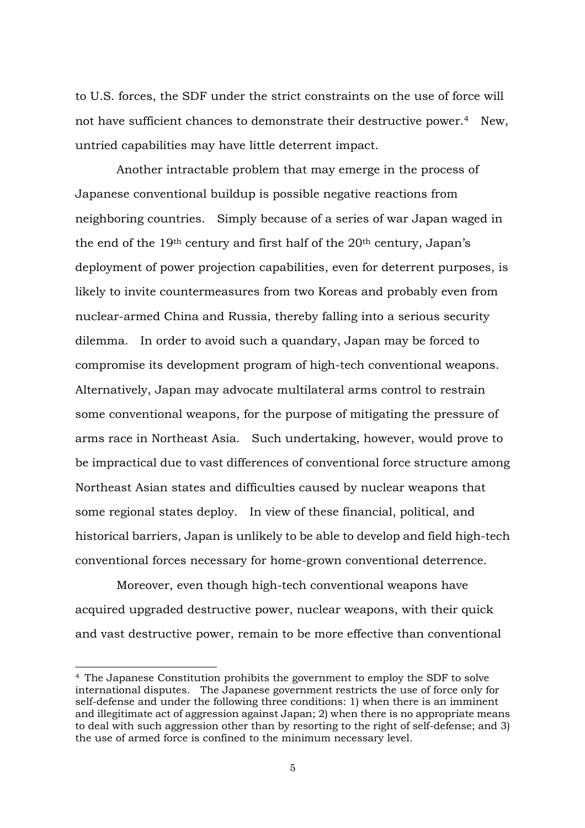to U.S. forces, the SDF under the strict constraints on the use of force will not have sufficient chances to demonstrate their destructive power.<sup>4</sup> New, untried capabilities may have little deterrent impact.

 Another intractable problem that may emerge in the process of Japanese conventional buildup is possible negative reactions from neighboring countries. Simply because of a series of war Japan waged in the end of the  $19<sup>th</sup>$  century and first half of the  $20<sup>th</sup>$  century, Japan's deployment of power projection capabilities, even for deterrent purposes, is likely to invite countermeasures from two Koreas and probably even from nuclear-armed China and Russia, thereby falling into a serious security dilemma. In order to avoid such a quandary, Japan may be forced to compromise its development program of high-tech conventional weapons. Alternatively, Japan may advocate multilateral arms control to restrain some conventional weapons, for the purpose of mitigating the pressure of arms race in Northeast Asia. Such undertaking, however, would prove to be impractical due to vast differences of conventional force structure among Northeast Asian states and difficulties caused by nuclear weapons that some regional states deploy. In view of these financial, political, and historical barriers, Japan is unlikely to be able to develop and field high-tech conventional forces necessary for home-grown conventional deterrence.

 Moreover, even though high-tech conventional weapons have acquired upgraded destructive power, nuclear weapons, with their quick and vast destructive power, remain to be more effective than conventional

<sup>4</sup> The Japanese Constitution prohibits the government to employ the SDF to solve international disputes. The Japanese government restricts the use of force only for self-defense and under the following three conditions: 1) when there is an imminent and illegitimate act of aggression against Japan; 2) when there is no appropriate means to deal with such aggression other than by resorting to the right of self-defense; and 3) the use of armed force is confined to the minimum necessary level.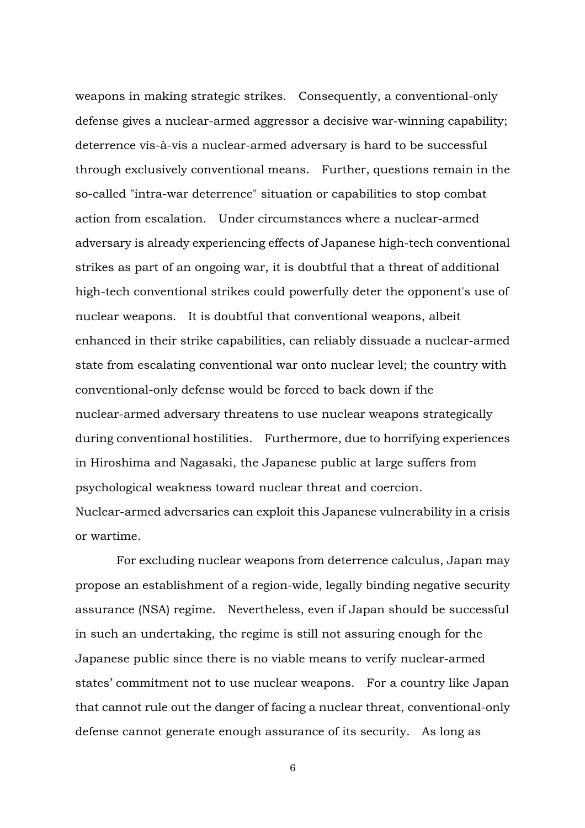weapons in making strategic strikes. Consequently, a conventional-only defense gives a nuclear-armed aggressor a decisive war-winning capability; deterrence vis-à-vis a nuclear-armed adversary is hard to be successful through exclusively conventional means. Further, questions remain in the so-called "intra-war deterrence" situation or capabilities to stop combat action from escalation. Under circumstances where a nuclear-armed adversary is already experiencing effects of Japanese high-tech conventional strikes as part of an ongoing war, it is doubtful that a threat of additional high-tech conventional strikes could powerfully deter the opponent's use of nuclear weapons. It is doubtful that conventional weapons, albeit enhanced in their strike capabilities, can reliably dissuade a nuclear-armed state from escalating conventional war onto nuclear level; the country with conventional-only defense would be forced to back down if the nuclear-armed adversary threatens to use nuclear weapons strategically during conventional hostilities. Furthermore, due to horrifying experiences in Hiroshima and Nagasaki, the Japanese public at large suffers from psychological weakness toward nuclear threat and coercion. Nuclear-armed adversaries can exploit this Japanese vulnerability in a crisis or wartime.

 For excluding nuclear weapons from deterrence calculus, Japan may propose an establishment of a region-wide, legally binding negative security assurance (NSA) regime. Nevertheless, even if Japan should be successful in such an undertaking, the regime is still not assuring enough for the Japanese public since there is no viable means to verify nuclear-armed states' commitment not to use nuclear weapons. For a country like Japan that cannot rule out the danger of facing a nuclear threat, conventional-only defense cannot generate enough assurance of its security. As long as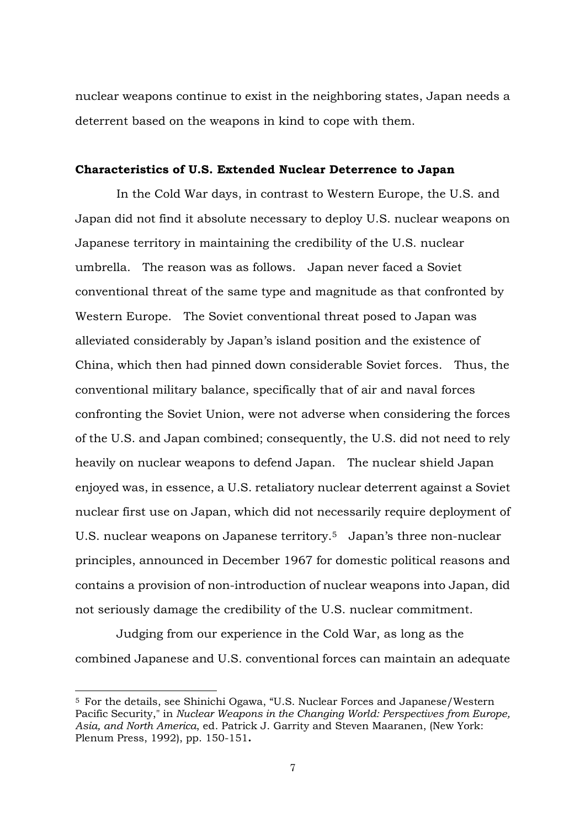nuclear weapons continue to exist in the neighboring states, Japan needs a deterrent based on the weapons in kind to cope with them.

## **Characteristics of U.S. Extended Nuclear Deterrence to Japan**

In the Cold War days, in contrast to Western Europe, the U.S. and Japan did not find it absolute necessary to deploy U.S. nuclear weapons on Japanese territory in maintaining the credibility of the U.S. nuclear umbrella. The reason was as follows. Japan never faced a Soviet conventional threat of the same type and magnitude as that confronted by Western Europe. The Soviet conventional threat posed to Japan was alleviated considerably by Japan's island position and the existence of China, which then had pinned down considerable Soviet forces. Thus, the conventional military balance, specifically that of air and naval forces confronting the Soviet Union, were not adverse when considering the forces of the U.S. and Japan combined; consequently, the U.S. did not need to rely heavily on nuclear weapons to defend Japan. The nuclear shield Japan enjoyed was, in essence, a U.S. retaliatory nuclear deterrent against a Soviet nuclear first use on Japan, which did not necessarily require deployment of U.S. nuclear weapons on Japanese territory.<sup>5</sup> Japan's three non-nuclear principles, announced in December 1967 for domestic political reasons and contains a provision of non-introduction of nuclear weapons into Japan, did not seriously damage the credibility of the U.S. nuclear commitment.

Judging from our experience in the Cold War, as long as the combined Japanese and U.S. conventional forces can maintain an adequate

<sup>5</sup> For the details, see Shinichi Ogawa, "U.S. Nuclear Forces and Japanese/Western Pacific Security," in *Nuclear Weapons in the Changing World: Perspectives from Europe, Asia, and North America*, ed. Patrick J. Garrity and Steven Maaranen, (New York: Plenum Press, 1992), pp. 150-151**.**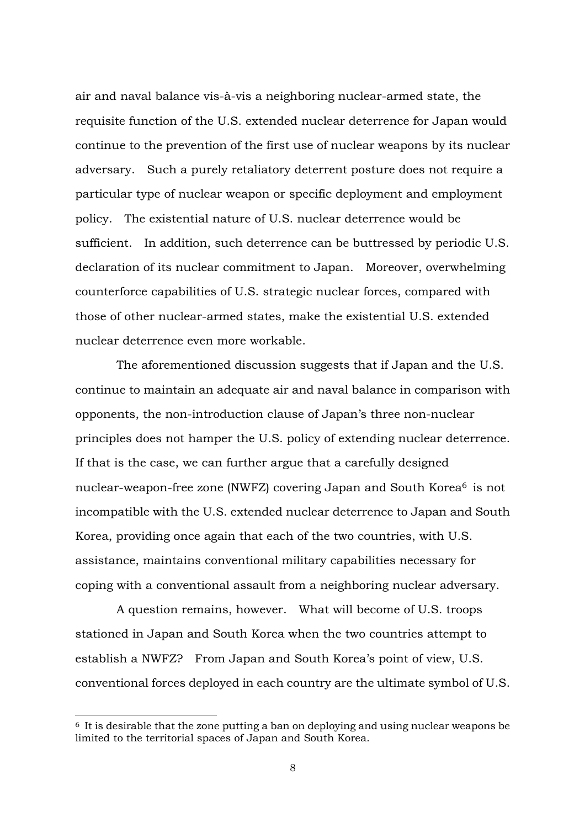air and naval balance vis-à-vis a neighboring nuclear-armed state, the requisite function of the U.S. extended nuclear deterrence for Japan would continue to the prevention of the first use of nuclear weapons by its nuclear adversary. Such a purely retaliatory deterrent posture does not require a particular type of nuclear weapon or specific deployment and employment policy. The existential nature of U.S. nuclear deterrence would be sufficient. In addition, such deterrence can be buttressed by periodic U.S. declaration of its nuclear commitment to Japan. Moreover, overwhelming counterforce capabilities of U.S. strategic nuclear forces, compared with those of other nuclear-armed states, make the existential U.S. extended nuclear deterrence even more workable.

The aforementioned discussion suggests that if Japan and the U.S. continue to maintain an adequate air and naval balance in comparison with opponents, the non-introduction clause of Japan's three non-nuclear principles does not hamper the U.S. policy of extending nuclear deterrence. If that is the case, we can further argue that a carefully designed nuclear-weapon-free zone (NWFZ) covering Japan and South Korea<sup>6</sup> is not incompatible with the U.S. extended nuclear deterrence to Japan and South Korea, providing once again that each of the two countries, with U.S. assistance, maintains conventional military capabilities necessary for coping with a conventional assault from a neighboring nuclear adversary.

A question remains, however. What will become of U.S. troops stationed in Japan and South Korea when the two countries attempt to establish a NWFZ? From Japan and South Korea's point of view, U.S. conventional forces deployed in each country are the ultimate symbol of U.S.

<sup>6</sup> It is desirable that the zone putting a ban on deploying and using nuclear weapons be limited to the territorial spaces of Japan and South Korea.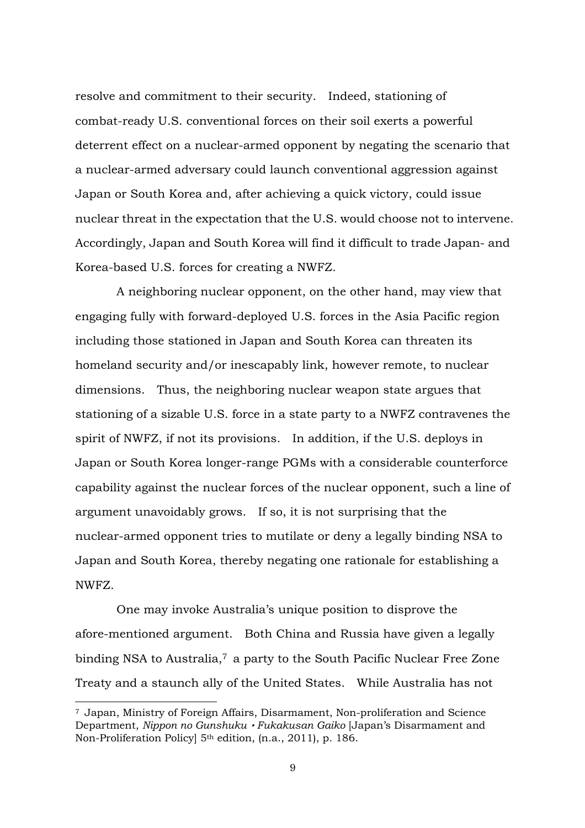resolve and commitment to their security. Indeed, stationing of combat-ready U.S. conventional forces on their soil exerts a powerful deterrent effect on a nuclear-armed opponent by negating the scenario that a nuclear-armed adversary could launch conventional aggression against Japan or South Korea and, after achieving a quick victory, could issue nuclear threat in the expectation that the U.S. would choose not to intervene. Accordingly, Japan and South Korea will find it difficult to trade Japan- and Korea-based U.S. forces for creating a NWFZ.

A neighboring nuclear opponent, on the other hand, may view that engaging fully with forward-deployed U.S. forces in the Asia Pacific region including those stationed in Japan and South Korea can threaten its homeland security and/or inescapably link, however remote, to nuclear dimensions. Thus, the neighboring nuclear weapon state argues that stationing of a sizable U.S. force in a state party to a NWFZ contravenes the spirit of NWFZ, if not its provisions. In addition, if the U.S. deploys in Japan or South Korea longer-range PGMs with a considerable counterforce capability against the nuclear forces of the nuclear opponent, such a line of argument unavoidably grows. If so, it is not surprising that the nuclear-armed opponent tries to mutilate or deny a legally binding NSA to Japan and South Korea, thereby negating one rationale for establishing a NWFZ.

One may invoke Australia's unique position to disprove the afore-mentioned argument. Both China and Russia have given a legally binding NSA to Australia,<sup>7</sup> a party to the South Pacific Nuclear Free Zone Treaty and a staunch ally of the United States. While Australia has not

<sup>7</sup> Japan, Ministry of Foreign Affairs, Disarmament, Non-proliferation and Science Department, *Nippon no Gunshuku*・*Fukakusan Gaiko* [Japan's Disarmament and Non-Proliferation Policy] 5th edition, (n.a., 2011), p. 186.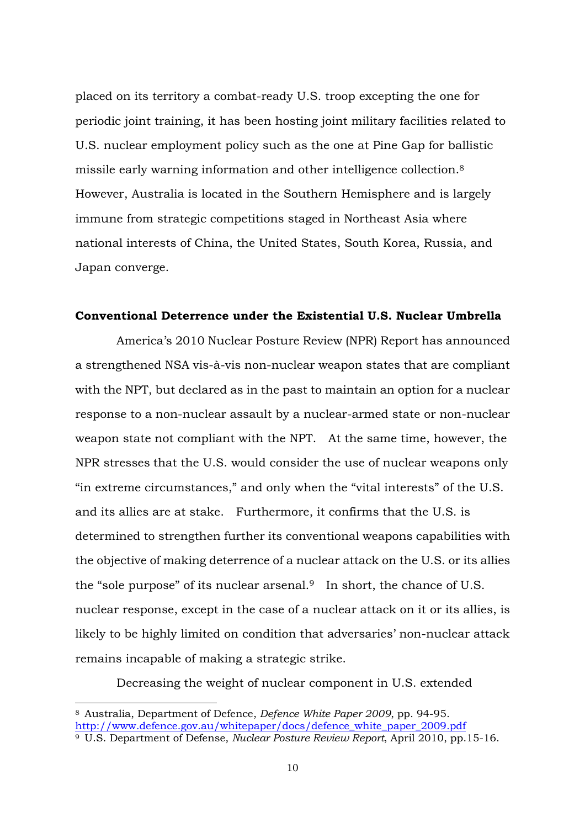placed on its territory a combat-ready U.S. troop excepting the one for periodic joint training, it has been hosting joint military facilities related to U.S. nuclear employment policy such as the one at Pine Gap for ballistic missile early warning information and other intelligence collection.<sup>8</sup> However, Australia is located in the Southern Hemisphere and is largely immune from strategic competitions staged in Northeast Asia where national interests of China, the United States, South Korea, Russia, and Japan converge.

### **Conventional Deterrence under the Existential U.S. Nuclear Umbrella**

America's 2010 Nuclear Posture Review (NPR) Report has announced a strengthened NSA vis-à-vis non-nuclear weapon states that are compliant with the NPT, but declared as in the past to maintain an option for a nuclear response to a non-nuclear assault by a nuclear-armed state or non-nuclear weapon state not compliant with the NPT. At the same time, however, the NPR stresses that the U.S. would consider the use of nuclear weapons only "in extreme circumstances," and only when the "vital interests" of the U.S. and its allies are at stake. Furthermore, it confirms that the U.S. is determined to strengthen further its conventional weapons capabilities with the objective of making deterrence of a nuclear attack on the U.S. or its allies the "sole purpose" of its nuclear arsenal.<sup>9</sup> In short, the chance of U.S. nuclear response, except in the case of a nuclear attack on it or its allies, is likely to be highly limited on condition that adversaries' non-nuclear attack remains incapable of making a strategic strike.

Decreasing the weight of nuclear component in U.S. extended

<sup>8</sup> Australia, Department of Defence, *Defence White Paper 2009*, pp. 94-95. http://www.defence.gov.au/whitepaper/docs/defence\_white\_paper\_2009.pdf 9 U.S. Department of Defense, *Nuclear Posture Review Report*, April 2010, pp.15-16.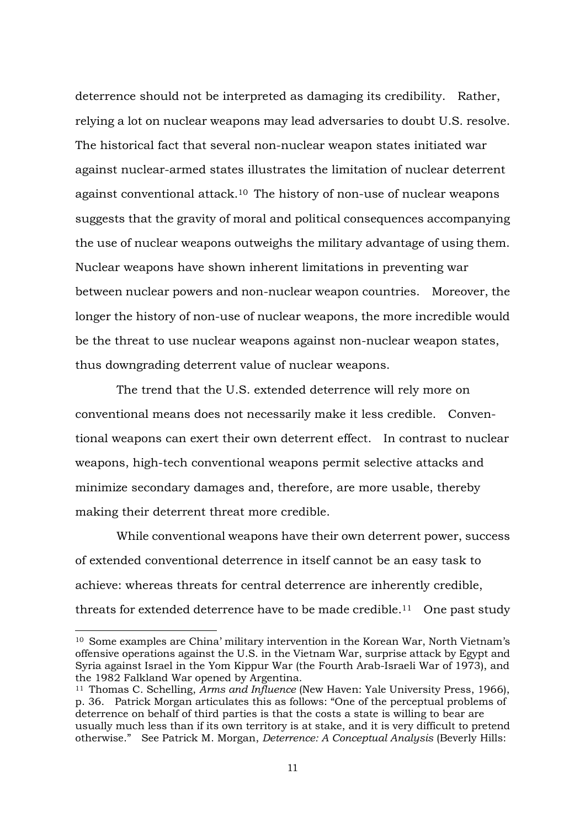deterrence should not be interpreted as damaging its credibility. Rather, relying a lot on nuclear weapons may lead adversaries to doubt U.S. resolve. The historical fact that several non-nuclear weapon states initiated war against nuclear-armed states illustrates the limitation of nuclear deterrent against conventional attack.<sup>10</sup> The history of non-use of nuclear weapons suggests that the gravity of moral and political consequences accompanying the use of nuclear weapons outweighs the military advantage of using them. Nuclear weapons have shown inherent limitations in preventing war between nuclear powers and non-nuclear weapon countries. Moreover, the longer the history of non-use of nuclear weapons, the more incredible would be the threat to use nuclear weapons against non-nuclear weapon states, thus downgrading deterrent value of nuclear weapons.

The trend that the U.S. extended deterrence will rely more on conventional means does not necessarily make it less credible. Conventional weapons can exert their own deterrent effect. In contrast to nuclear weapons, high-tech conventional weapons permit selective attacks and minimize secondary damages and, therefore, are more usable, thereby making their deterrent threat more credible.

While conventional weapons have their own deterrent power, success of extended conventional deterrence in itself cannot be an easy task to achieve: whereas threats for central deterrence are inherently credible, threats for extended deterrence have to be made credible.<sup>11</sup> One past study

<sup>10</sup> Some examples are China' military intervention in the Korean War, North Vietnam's offensive operations against the U.S. in the Vietnam War, surprise attack by Egypt and Syria against Israel in the Yom Kippur War (the Fourth Arab-Israeli War of 1973), and the 1982 Falkland War opened by Argentina.

<sup>11</sup> Thomas C. Schelling, *Arms and Influence* (New Haven: Yale University Press, 1966), p. 36. Patrick Morgan articulates this as follows: "One of the perceptual problems of deterrence on behalf of third parties is that the costs a state is willing to bear are usually much less than if its own territory is at stake, and it is very difficult to pretend otherwise." See Patrick M. Morgan, *Deterrence: A Conceptual Analysis* (Beverly Hills: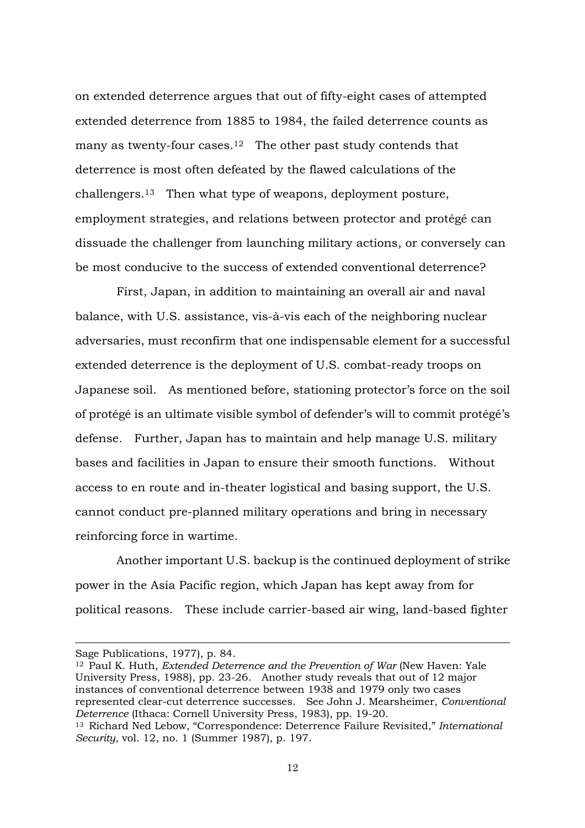on extended deterrence argues that out of fifty-eight cases of attempted extended deterrence from 1885 to 1984, the failed deterrence counts as many as twenty-four cases.<sup>12</sup> The other past study contends that deterrence is most often defeated by the flawed calculations of the challengers.<sup>13</sup> Then what type of weapons, deployment posture, employment strategies, and relations between protector and protégé can dissuade the challenger from launching military actions, or conversely can be most conducive to the success of extended conventional deterrence?

 First, Japan, in addition to maintaining an overall air and naval balance, with U.S. assistance, vis-à-vis each of the neighboring nuclear adversaries, must reconfirm that one indispensable element for a successful extended deterrence is the deployment of U.S. combat-ready troops on Japanese soil. As mentioned before, stationing protector's force on the soil of protégé is an ultimate visible symbol of defender's will to commit protégé's defense. Further, Japan has to maintain and help manage U.S. military bases and facilities in Japan to ensure their smooth functions. Without access to en route and in-theater logistical and basing support, the U.S. cannot conduct pre-planned military operations and bring in necessary reinforcing force in wartime.

Another important U.S. backup is the continued deployment of strike power in the Asia Pacific region, which Japan has kept away from for political reasons. These include carrier-based air wing, land-based fighter

<sup>12</sup> Paul K. Huth, *Extended Deterrence and the Prevention of War* (New Haven: Yale University Press, 1988), pp. 23-26. Another study reveals that out of 12 major instances of conventional deterrence between 1938 and 1979 only two cases represented clear-cut deterrence successes. See John J. Mearsheimer, *Conventional Deterrence* (Ithaca: Cornell University Press, 1983), pp. 19-20. <sup>13</sup> Richard Ned Lebow, "Correspondence: Deterrence Failure Revisited," *International Security*, vol. 12, no. 1 (Summer 1987), p. 197.

Sage Publications, 1977), p. 84.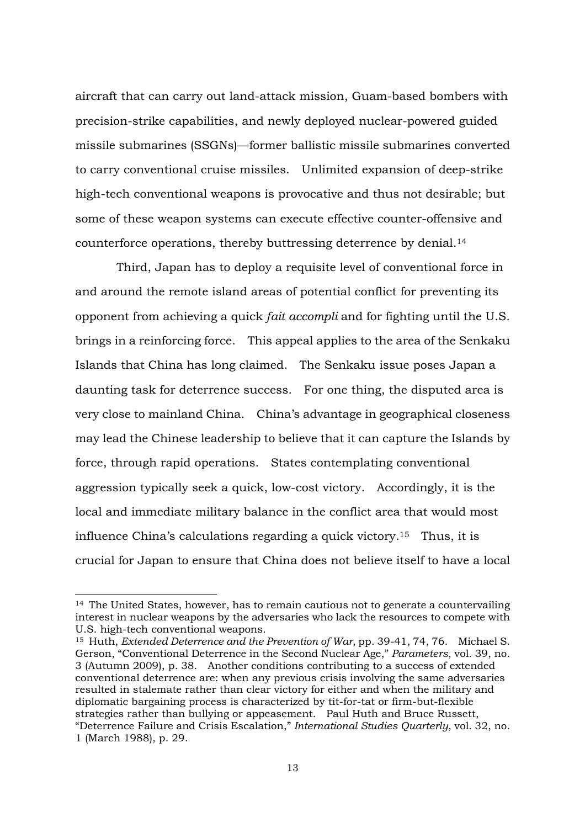aircraft that can carry out land-attack mission, Guam-based bombers with precision-strike capabilities, and newly deployed nuclear-powered guided missile submarines (SSGNs)—former ballistic missile submarines converted to carry conventional cruise missiles. Unlimited expansion of deep-strike high-tech conventional weapons is provocative and thus not desirable; but some of these weapon systems can execute effective counter-offensive and counterforce operations, thereby buttressing deterrence by denial.<sup>14</sup>

Third, Japan has to deploy a requisite level of conventional force in and around the remote island areas of potential conflict for preventing its opponent from achieving a quick *fait accompli* and for fighting until the U.S. brings in a reinforcing force. This appeal applies to the area of the Senkaku Islands that China has long claimed. The Senkaku issue poses Japan a daunting task for deterrence success. For one thing, the disputed area is very close to mainland China. China's advantage in geographical closeness may lead the Chinese leadership to believe that it can capture the Islands by force, through rapid operations. States contemplating conventional aggression typically seek a quick, low-cost victory. Accordingly, it is the local and immediate military balance in the conflict area that would most influence China's calculations regarding a quick victory.<sup>15</sup> Thus, it is crucial for Japan to ensure that China does not believe itself to have a local

<sup>14</sup> The United States, however, has to remain cautious not to generate a countervailing interest in nuclear weapons by the adversaries who lack the resources to compete with U.S. high-tech conventional weapons.

<sup>15</sup> Huth, *Extended Deterrence and the Prevention of War*, pp. 39-41, 74, 76. Michael S. Gerson, "Conventional Deterrence in the Second Nuclear Age," *Parameters*, vol. 39, no. 3 (Autumn 2009), p. 38. Another conditions contributing to a success of extended conventional deterrence are: when any previous crisis involving the same adversaries resulted in stalemate rather than clear victory for either and when the military and diplomatic bargaining process is characterized by tit-for-tat or firm-but-flexible strategies rather than bullying or appeasement. Paul Huth and Bruce Russett, "Deterrence Failure and Crisis Escalation," *International Studies Quarterly*, vol. 32, no. 1 (March 1988), p. 29.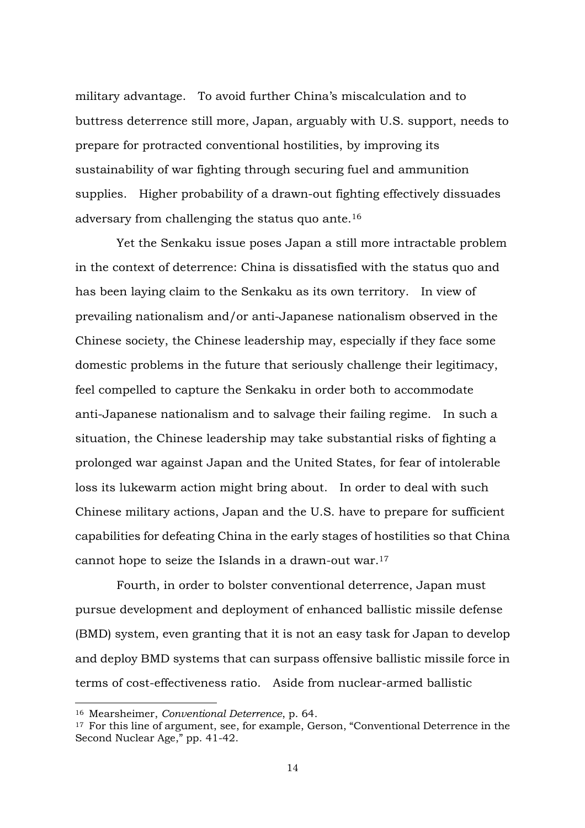military advantage. To avoid further China's miscalculation and to buttress deterrence still more, Japan, arguably with U.S. support, needs to prepare for protracted conventional hostilities, by improving its sustainability of war fighting through securing fuel and ammunition supplies. Higher probability of a drawn-out fighting effectively dissuades adversary from challenging the status quo ante.<sup>16</sup>

Yet the Senkaku issue poses Japan a still more intractable problem in the context of deterrence: China is dissatisfied with the status quo and has been laying claim to the Senkaku as its own territory. In view of prevailing nationalism and/or anti-Japanese nationalism observed in the Chinese society, the Chinese leadership may, especially if they face some domestic problems in the future that seriously challenge their legitimacy, feel compelled to capture the Senkaku in order both to accommodate anti-Japanese nationalism and to salvage their failing regime. In such a situation, the Chinese leadership may take substantial risks of fighting a prolonged war against Japan and the United States, for fear of intolerable loss its lukewarm action might bring about. In order to deal with such Chinese military actions, Japan and the U.S. have to prepare for sufficient capabilities for defeating China in the early stages of hostilities so that China cannot hope to seize the Islands in a drawn-out war. 17

Fourth, in order to bolster conventional deterrence, Japan must pursue development and deployment of enhanced ballistic missile defense (BMD) system, even granting that it is not an easy task for Japan to develop and deploy BMD systems that can surpass offensive ballistic missile force in terms of cost-effectiveness ratio. Aside from nuclear-armed ballistic

<sup>16</sup> Mearsheimer, *Conventional Deterrence*, p. 64.

<sup>&</sup>lt;sup>17</sup> For this line of argument, see, for example, Gerson, "Conventional Deterrence in the Second Nuclear Age," pp. 41-42.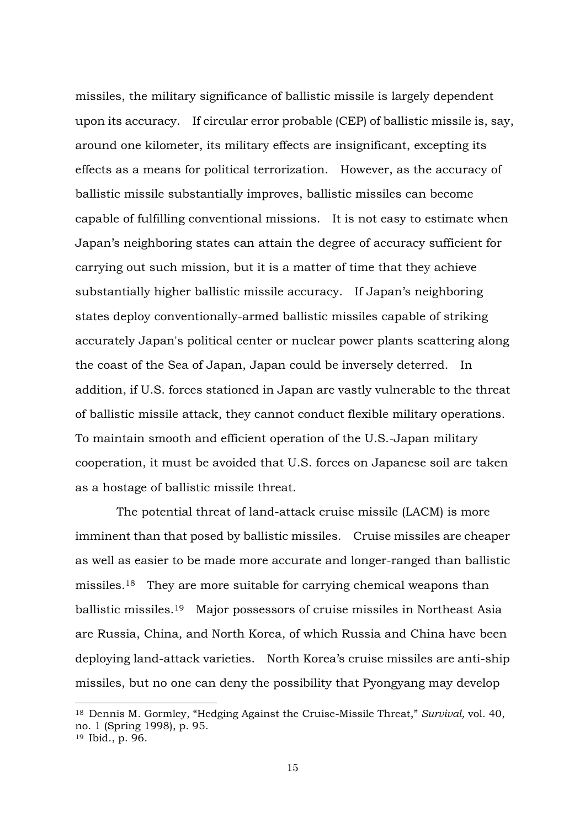missiles, the military significance of ballistic missile is largely dependent upon its accuracy. If circular error probable (CEP) of ballistic missile is, say, around one kilometer, its military effects are insignificant, excepting its effects as a means for political terrorization. However, as the accuracy of ballistic missile substantially improves, ballistic missiles can become capable of fulfilling conventional missions. It is not easy to estimate when Japan's neighboring states can attain the degree of accuracy sufficient for carrying out such mission, but it is a matter of time that they achieve substantially higher ballistic missile accuracy. If Japan's neighboring states deploy conventionally-armed ballistic missiles capable of striking accurately Japan's political center or nuclear power plants scattering along the coast of the Sea of Japan, Japan could be inversely deterred. In addition, if U.S. forces stationed in Japan are vastly vulnerable to the threat of ballistic missile attack, they cannot conduct flexible military operations. To maintain smooth and efficient operation of the U.S.-Japan military cooperation, it must be avoided that U.S. forces on Japanese soil are taken as a hostage of ballistic missile threat.

The potential threat of land-attack cruise missile (LACM) is more imminent than that posed by ballistic missiles. Cruise missiles are cheaper as well as easier to be made more accurate and longer-ranged than ballistic missiles.<sup>18</sup> They are more suitable for carrying chemical weapons than ballistic missiles.<sup>19</sup> Major possessors of cruise missiles in Northeast Asia are Russia, China, and North Korea, of which Russia and China have been deploying land-attack varieties. North Korea's cruise missiles are anti-ship missiles, but no one can deny the possibility that Pyongyang may develop

<sup>18</sup> Dennis M. Gormley, "Hedging Against the Cruise-Missile Threat," *Survival,* vol. 40, no. 1 (Spring 1998), p. 95.

<sup>19</sup> Ibid., p. 96.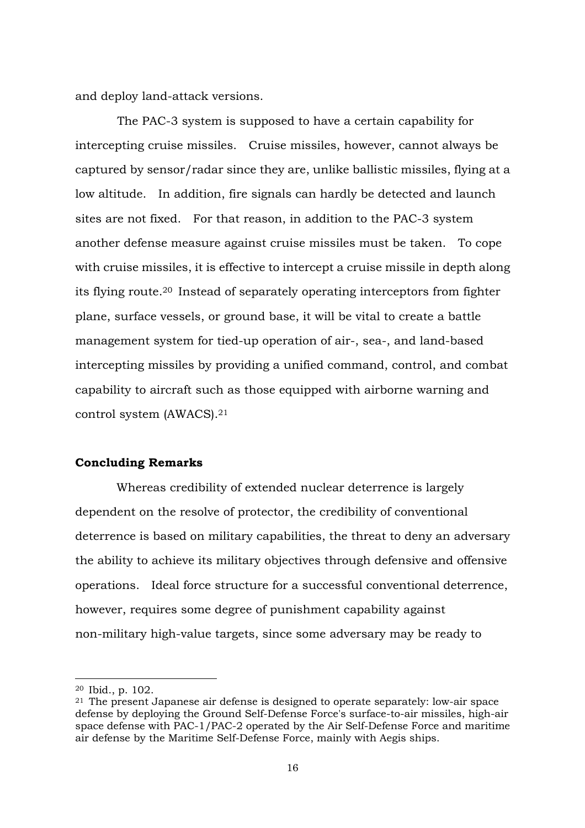and deploy land-attack versions.

The PAC-3 system is supposed to have a certain capability for intercepting cruise missiles. Cruise missiles, however, cannot always be captured by sensor/radar since they are, unlike ballistic missiles, flying at a low altitude. In addition, fire signals can hardly be detected and launch sites are not fixed. For that reason, in addition to the PAC-3 system another defense measure against cruise missiles must be taken. To cope with cruise missiles, it is effective to intercept a cruise missile in depth along its flying route.<sup>20</sup> Instead of separately operating interceptors from fighter plane, surface vessels, or ground base, it will be vital to create a battle management system for tied-up operation of air-, sea-, and land-based intercepting missiles by providing a unified command, control, and combat capability to aircraft such as those equipped with airborne warning and control system (AWACS).<sup>21</sup>

#### **Concluding Remarks**

 Whereas credibility of extended nuclear deterrence is largely dependent on the resolve of protector, the credibility of conventional deterrence is based on military capabilities, the threat to deny an adversary the ability to achieve its military objectives through defensive and offensive operations. Ideal force structure for a successful conventional deterrence, however, requires some degree of punishment capability against non-military high-value targets, since some adversary may be ready to

<sup>20</sup> Ibid., p. 102.

<sup>21</sup> The present Japanese air defense is designed to operate separately: low-air space defense by deploying the Ground Self-Defense Force's surface-to-air missiles, high-air space defense with PAC-1/PAC-2 operated by the Air Self-Defense Force and maritime air defense by the Maritime Self-Defense Force, mainly with Aegis ships.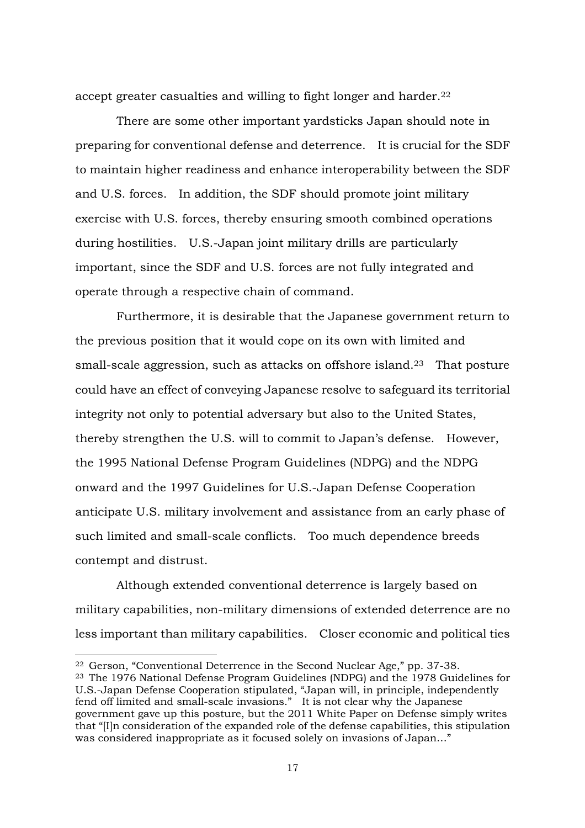accept greater casualties and willing to fight longer and harder.<sup>22</sup>

There are some other important yardsticks Japan should note in preparing for conventional defense and deterrence. It is crucial for the SDF to maintain higher readiness and enhance interoperability between the SDF and U.S. forces. In addition, the SDF should promote joint military exercise with U.S. forces, thereby ensuring smooth combined operations during hostilities. U.S.-Japan joint military drills are particularly important, since the SDF and U.S. forces are not fully integrated and operate through a respective chain of command.

Furthermore, it is desirable that the Japanese government return to the previous position that it would cope on its own with limited and small-scale aggression, such as attacks on offshore island.<sup>23</sup> That posture could have an effect of conveying Japanese resolve to safeguard its territorial integrity not only to potential adversary but also to the United States, thereby strengthen the U.S. will to commit to Japan's defense. However, the 1995 National Defense Program Guidelines (NDPG) and the NDPG onward and the 1997 Guidelines for U.S.-Japan Defense Cooperation anticipate U.S. military involvement and assistance from an early phase of such limited and small-scale conflicts. Too much dependence breeds contempt and distrust.

Although extended conventional deterrence is largely based on military capabilities, non-military dimensions of extended deterrence are no less important than military capabilities. Closer economic and political ties

<sup>22</sup> Gerson, "Conventional Deterrence in the Second Nuclear Age," pp. 37-38.

<sup>23</sup> The 1976 National Defense Program Guidelines (NDPG) and the 1978 Guidelines for U.S.-Japan Defense Cooperation stipulated, "Japan will, in principle, independently fend off limited and small-scale invasions." It is not clear why the Japanese government gave up this posture, but the 2011 White Paper on Defense simply writes that "[I]n consideration of the expanded role of the defense capabilities, this stipulation was considered inappropriate as it focused solely on invasions of Japan…"